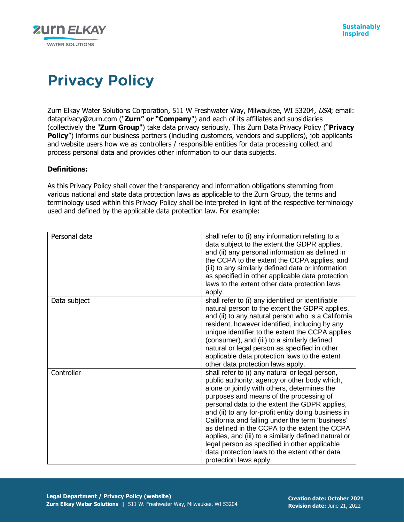

# **Privacy Policy**

Zurn Elkay Water Solutions Corporation, 511 W Freshwater Way, Milwaukee, WI 53204, USA; email: dataprivacy@zurn.com ("**Zurn" or "Company**") and each of its affiliates and subsidiaries (collectively the "**Zurn Group**") take data privacy seriously. This Zurn Data Privacy Policy ("**Privacy Policy**") informs our business partners (including customers, vendors and suppliers), job applicants and website users how we as controllers / responsible entities for data processing collect and process personal data and provides other information to our data subjects.

# **Definitions:**

As this Privacy Policy shall cover the transparency and information obligations stemming from various national and state data protection laws as applicable to the Zurn Group, the terms and terminology used within this Privacy Policy shall be interpreted in light of the respective terminology used and defined by the applicable data protection law. For example:

| Personal data | shall refer to (i) any information relating to a<br>data subject to the extent the GDPR applies,<br>and (ii) any personal information as defined in<br>the CCPA to the extent the CCPA applies, and<br>(iii) to any similarly defined data or information<br>as specified in other applicable data protection<br>laws to the extent other data protection laws<br>apply.                                                                                                                                                                                                                     |
|---------------|----------------------------------------------------------------------------------------------------------------------------------------------------------------------------------------------------------------------------------------------------------------------------------------------------------------------------------------------------------------------------------------------------------------------------------------------------------------------------------------------------------------------------------------------------------------------------------------------|
| Data subject  | shall refer to (i) any identified or identifiable<br>natural person to the extent the GDPR applies,<br>and (ii) to any natural person who is a California<br>resident, however identified, including by any<br>unique identifier to the extent the CCPA applies<br>(consumer), and (iii) to a similarly defined<br>natural or legal person as specified in other<br>applicable data protection laws to the extent<br>other data protection laws apply.                                                                                                                                       |
| Controller    | shall refer to (i) any natural or legal person,<br>public authority, agency or other body which,<br>alone or jointly with others, determines the<br>purposes and means of the processing of<br>personal data to the extent the GDPR applies,<br>and (ii) to any for-profit entity doing business in<br>California and falling under the term 'business'<br>as defined in the CCPA to the extent the CCPA<br>applies, and (iii) to a similarly defined natural or<br>legal person as specified in other applicable<br>data protection laws to the extent other data<br>protection laws apply. |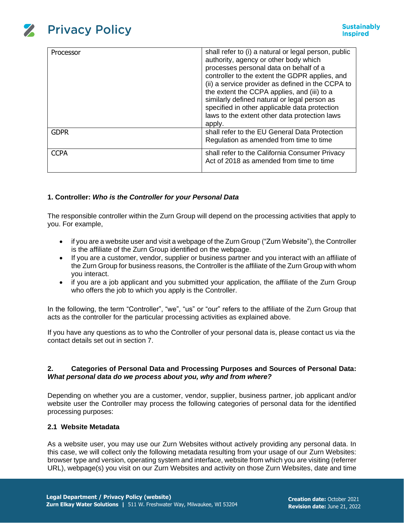

| Processor   | shall refer to (i) a natural or legal person, public<br>authority, agency or other body which<br>processes personal data on behalf of a<br>controller to the extent the GDPR applies, and<br>(ii) a service provider as defined in the CCPA to<br>the extent the CCPA applies, and (iii) to a<br>similarly defined natural or legal person as<br>specified in other applicable data protection<br>laws to the extent other data protection laws<br>apply. |
|-------------|-----------------------------------------------------------------------------------------------------------------------------------------------------------------------------------------------------------------------------------------------------------------------------------------------------------------------------------------------------------------------------------------------------------------------------------------------------------|
| <b>GDPR</b> | shall refer to the EU General Data Protection<br>Regulation as amended from time to time                                                                                                                                                                                                                                                                                                                                                                  |
| <b>CCPA</b> | shall refer to the California Consumer Privacy<br>Act of 2018 as amended from time to time                                                                                                                                                                                                                                                                                                                                                                |

# **1. Controller:** *Who is the Controller for your Personal Data*

The responsible controller within the Zurn Group will depend on the processing activities that apply to you. For example,

- if you are a website user and visit a webpage of the Zurn Group ("Zurn Website"), the Controller is the affiliate of the Zurn Group identified on the webpage.
- If you are a customer, vendor, supplier or business partner and you interact with an affiliate of the Zurn Group for business reasons, the Controller is the affiliate of the Zurn Group with whom you interact.
- if you are a job applicant and you submitted your application, the affiliate of the Zurn Group who offers the job to which you apply is the Controller.

In the following, the term "Controller", "we", "us" or "our" refers to the affiliate of the Zurn Group that acts as the controller for the particular processing activities as explained above.

If you have any questions as to who the Controller of your personal data is, please contact us via the contact details set out in section 7.

# **2. Categories of Personal Data and Processing Purposes and Sources of Personal Data:**  *What personal data do we process about you, why and from where?*

Depending on whether you are a customer, vendor, supplier, business partner, job applicant and/or website user the Controller may process the following categories of personal data for the identified processing purposes:

#### **2.1 Website Metadata**

As a website user, you may use our Zurn Websites without actively providing any personal data. In this case, we will collect only the following metadata resulting from your usage of our Zurn Websites: browser type and version, operating system and interface, website from which you are visiting (referrer URL), webpage(s) you visit on our Zurn Websites and activity on those Zurn Websites, date and time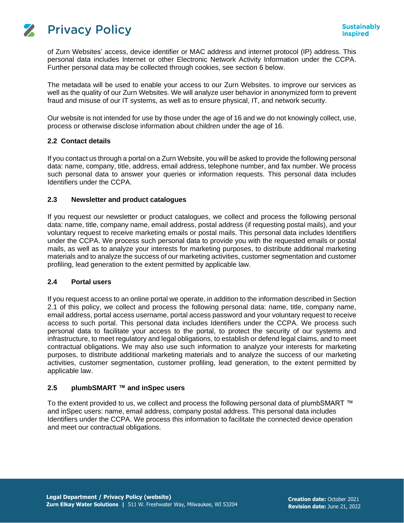

**Privacy Policy** 

 $\mathbf{z}$ 

of Zurn Websites' access, device identifier or MAC address and internet protocol (IP) address. This personal data includes Internet or other Electronic Network Activity Information under the CCPA. Further personal data may be collected through cookies, see section 6 below.

The metadata will be used to enable your access to our Zurn Websites. to improve our services as well as the quality of our Zurn Websites. We will analyze user behavior in anonymized form to prevent fraud and misuse of our IT systems, as well as to ensure physical, IT, and network security.

Our website is not intended for use by those under the age of 16 and we do not knowingly collect, use, process or otherwise disclose information about children under the age of 16.

# **2.2 Contact details**

If you contact us through a portal on a Zurn Website, you will be asked to provide the following personal data: name, company, title, address, email address, telephone number, and fax number. We process such personal data to answer your queries or information requests. This personal data includes Identifiers under the CCPA.

# **2.3 Newsletter and product catalogues**

If you request our newsletter or product catalogues, we collect and process the following personal data: name, title, company name, email address, postal address (if requesting postal mails), and your voluntary request to receive marketing emails or postal mails. This personal data includes Identifiers under the CCPA. We process such personal data to provide you with the requested emails or postal mails, as well as to analyze your interests for marketing purposes, to distribute additional marketing materials and to analyze the success of our marketing activities, customer segmentation and customer profiling, lead generation to the extent permitted by applicable law.

# **2.4 Portal users**

If you request access to an online portal we operate, in addition to the information described in Section 2.1 of this policy, we collect and process the following personal data: name, title, company name, email address, portal access username, portal access password and your voluntary request to receive access to such portal. This personal data includes Identifiers under the CCPA. We process such personal data to facilitate your access to the portal, to protect the security of our systems and infrastructure, to meet regulatory and legal obligations, to establish or defend legal claims, and to meet contractual obligations. We may also use such information to analyze your interests for marketing purposes, to distribute additional marketing materials and to analyze the success of our marketing activities, customer segmentation, customer profiling, lead generation, to the extent permitted by applicable law.

#### **2.5 plumbSMART ™ and inSpec users**

To the extent provided to us, we collect and process the following personal data of plumbSMART ™ and inSpec users: name, email address, company postal address. This personal data includes Identifiers under the CCPA. We process this information to facilitate the connected device operation and meet our contractual obligations.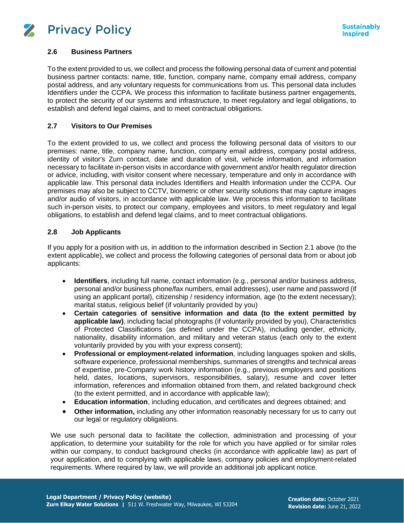

# **2.6 Business Partners**

To the extent provided to us, we collect and process the following personal data of current and potential business partner contacts: name, title, function, company name, company email address, company postal address, and any voluntary requests for communications from us. This personal data includes Identifiers under the CCPA. We process this information to facilitate business partner engagements, to protect the security of our systems and infrastructure, to meet regulatory and legal obligations, to establish and defend legal claims, and to meet contractual obligations.

# **2.7 Visitors to Our Premises**

To the extent provided to us, we collect and process the following personal data of visitors to our premises: name, title, company name, function, company email address, company postal address, identity of visitor's Zurn contact, date and duration of visit, vehicle information, and information necessary to facilitate in-person visits in accordance with government and/or health regulator direction or advice, including, with visitor consent where necessary, temperature and only in accordance with applicable law. This personal data includes Identifiers and Health Information under the CCPA. Our premises may also be subject to CCTV, biometric or other security solutions that may capture images and/or audio of visitors, in accordance with applicable law. We process this information to facilitate such in-person visits, to protect our company, employees and visitors, to meet regulatory and legal obligations, to establish and defend legal claims, and to meet contractual obligations.

# **2.8 Job Applicants**

If you apply for a position with us, in addition to the information described in Section 2.1 above (to the extent applicable), we collect and process the following categories of personal data from or about job applicants:

- **Identifiers**, including full name, contact information (e.g., personal and/or business address, personal and/or business phone/fax numbers, email addresses), user name and password (if using an applicant portal), citizenship / residency information, age (to the extent necessary); marital status, religious belief (if voluntarily provided by you)
- **Certain categories of sensitive information and data (to the extent permitted by applicable law)**, including facial photographs (if voluntarily provided by you), Characteristics of Protected Classifications (as defined under the CCPA), including gender, ethnicity, nationality, disability information, and military and veteran status (each only to the extent voluntarily provided by you with your express consent);
- **Professional or employment-related information**, including languages spoken and skills, software experience, professional memberships, summaries of strengths and technical areas of expertise, pre-Company work history information (e.g., previous employers and positions held, dates, locations, supervisors, responsibilities, salary), resume and cover letter information, references and information obtained from them, and related background check (to the extent permitted, and in accordance with applicable law);
- **Education information**, including education, and certificates and degrees obtained; and
- **Other information,** including any other information reasonably necessary for us to carry out our legal or regulatory obligations.

We use such personal data to facilitate the collection, administration and processing of your application, to determine your suitability for the role for which you have applied or for similar roles within our company, to conduct background checks (in accordance with applicable law) as part of your application, and to complying with applicable laws, company policies and employment-related requirements. Where required by law, we will provide an additional job applicant notice.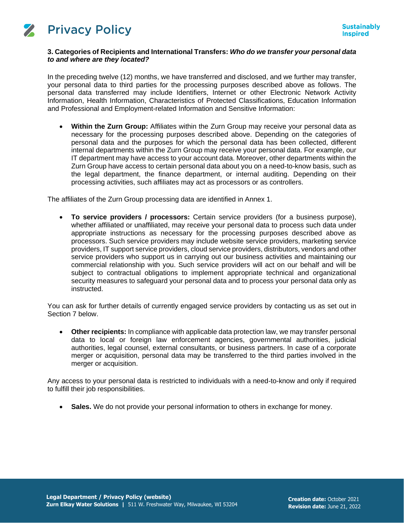

# **3. Categories of Recipients and International Transfers:** *Who do we transfer your personal data to and where are they located?*

In the preceding twelve (12) months, we have transferred and disclosed, and we further may transfer, your personal data to third parties for the processing purposes described above as follows. The personal data transferred may include Identifiers, Internet or other Electronic Network Activity Information, Health Information, Characteristics of Protected Classifications, Education Information and Professional and Employment-related Information and Sensitive Information:

• **Within the Zurn Group:** Affiliates within the Zurn Group may receive your personal data as necessary for the processing purposes described above. Depending on the categories of personal data and the purposes for which the personal data has been collected, different internal departments within the Zurn Group may receive your personal data. For example, our IT department may have access to your account data. Moreover, other departments within the Zurn Group have access to certain personal data about you on a need-to-know basis, such as the legal department, the finance department, or internal auditing. Depending on their processing activities, such affiliates may act as processors or as controllers.

The affiliates of the Zurn Group processing data are identified in Annex 1.

• **To service providers / processors:** Certain service providers (for a business purpose), whether affiliated or unaffiliated, may receive your personal data to process such data under appropriate instructions as necessary for the processing purposes described above as processors. Such service providers may include website service providers, marketing service providers, IT support service providers, cloud service providers, distributors, vendors and other service providers who support us in carrying out our business activities and maintaining our commercial relationship with you. Such service providers will act on our behalf and will be subject to contractual obligations to implement appropriate technical and organizational security measures to safeguard your personal data and to process your personal data only as instructed.

You can ask for further details of currently engaged service providers by contacting us as set out in Section 7 below.

• **Other recipients:** In compliance with applicable data protection law, we may transfer personal data to local or foreign law enforcement agencies, governmental authorities, judicial authorities, legal counsel, external consultants, or business partners. In case of a corporate merger or acquisition, personal data may be transferred to the third parties involved in the merger or acquisition.

Any access to your personal data is restricted to individuals with a need-to-know and only if required to fulfill their job responsibilities.

• **Sales.** We do not provide your personal information to others in exchange for money.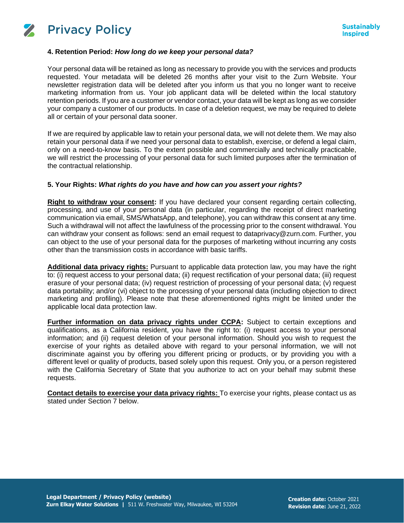

#### **4. Retention Period:** *How long do we keep your personal data?*

Your personal data will be retained as long as necessary to provide you with the services and products requested. Your metadata will be deleted 26 months after your visit to the Zurn Website. Your newsletter registration data will be deleted after you inform us that you no longer want to receive marketing information from us. Your job applicant data will be deleted within the local statutory retention periods. If you are a customer or vendor contact, your data will be kept as long as we consider your company a customer of our products. In case of a deletion request, we may be required to delete all or certain of your personal data sooner.

If we are required by applicable law to retain your personal data, we will not delete them. We may also retain your personal data if we need your personal data to establish, exercise, or defend a legal claim, only on a need-to-know basis. To the extent possible and commercially and technically practicable, we will restrict the processing of your personal data for such limited purposes after the termination of the contractual relationship.

# **5. Your Rights:** *What rights do you have and how can you assert your rights?*

**Right to withdraw your consent:** If you have declared your consent regarding certain collecting, processing, and use of your personal data (in particular, regarding the receipt of direct marketing communication via email, SMS/WhatsApp, and telephone), you can withdraw this consent at any time. Such a withdrawal will not affect the lawfulness of the processing prior to the consent withdrawal. You can withdraw your consent as follows: send an email request to dataprivacy@zurn.com. Further, you can object to the use of your personal data for the purposes of marketing without incurring any costs other than the transmission costs in accordance with basic tariffs.

**Additional data privacy rights:** Pursuant to applicable data protection law, you may have the right to: (i) request access to your personal data; (ii) request rectification of your personal data; (iii) request erasure of your personal data; (iv) request restriction of processing of your personal data; (v) request data portability; and/or (vi) object to the processing of your personal data (including objection to direct marketing and profiling). Please note that these aforementioned rights might be limited under the applicable local data protection law.

**Further information on data privacy rights under CCPA:** Subject to certain exceptions and qualifications, as a California resident, you have the right to: (i) request access to your personal information; and (ii) request deletion of your personal information. Should you wish to request the exercise of your rights as detailed above with regard to your personal information, we will not discriminate against you by offering you different pricing or products, or by providing you with a different level or quality of products, based solely upon this request. Only you, or a person registered with the California Secretary of State that you authorize to act on your behalf may submit these requests.

**Contact details to exercise your data privacy rights:** To exercise your rights, please contact us as stated under Section 7 below.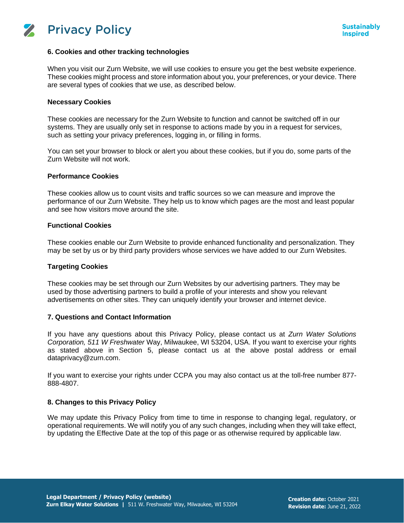

#### **6. Cookies and other tracking technologies**

When you visit our Zurn Website, we will use cookies to ensure you get the best website experience. These cookies might process and store information about you, your preferences, or your device. There are several types of cookies that we use, as described below.

#### **Necessary Cookies**

These cookies are necessary for the Zurn Website to function and cannot be switched off in our systems. They are usually only set in response to actions made by you in a request for services, such as setting your privacy preferences, logging in, or filling in forms.

You can set your browser to block or alert you about these cookies, but if you do, some parts of the Zurn Website will not work.

#### **Performance Cookies**

These cookies allow us to count visits and traffic sources so we can measure and improve the performance of our Zurn Website. They help us to know which pages are the most and least popular and see how visitors move around the site.

#### **Functional Cookies**

These cookies enable our Zurn Website to provide enhanced functionality and personalization. They may be set by us or by third party providers whose services we have added to our Zurn Websites.

#### **Targeting Cookies**

These cookies may be set through our Zurn Websites by our advertising partners. They may be used by those advertising partners to build a profile of your interests and show you relevant advertisements on other sites. They can uniquely identify your browser and internet device.

#### **7. Questions and Contact Information**

If you have any questions about this Privacy Policy, please contact us at *Zurn Water Solutions Corporation, 511 W Freshwater* Way, Milwaukee, WI 53204, USA. If you want to exercise your rights as stated above in Section 5, please contact us at the above postal address or email dataprivacy@zurn.com.

If you want to exercise your rights under CCPA you may also contact us at the toll-free number 877- 888-4807.

#### **8. Changes to this Privacy Policy**

We may update this Privacy Policy from time to time in response to changing legal, regulatory, or operational requirements. We will notify you of any such changes, including when they will take effect, by updating the Effective Date at the top of this page or as otherwise required by applicable law.